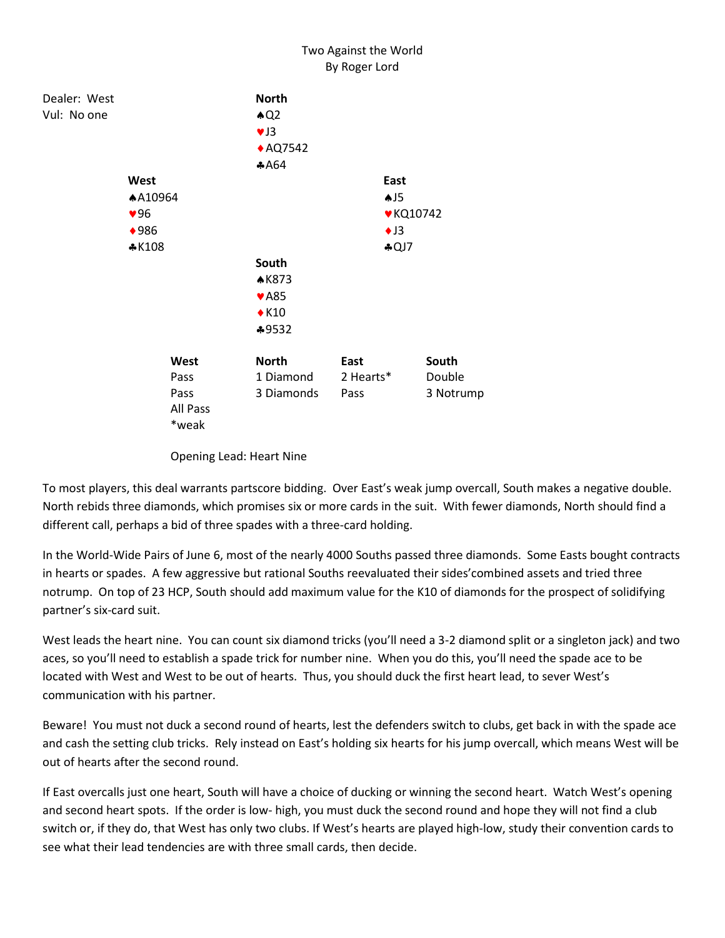

Opening Lead: Heart Nine

To most players, this deal warrants partscore bidding. Over East's weak jump overcall, South makes a negative double. North rebids three diamonds, which promises six or more cards in the suit. With fewer diamonds, North should find a different call, perhaps a bid of three spades with a three-card holding.

In the World-Wide Pairs of June 6, most of the nearly 4000 Souths passed three diamonds. Some Easts bought contracts in hearts or spades. A few aggressive but rational Souths reevaluated their sides'combined assets and tried three notrump. On top of 23 HCP, South should add maximum value for the K10 of diamonds for the prospect of solidifying partner's six-card suit.

West leads the heart nine. You can count six diamond tricks (you'll need a 3-2 diamond split or a singleton jack) and two aces, so you'll need to establish a spade trick for number nine. When you do this, you'll need the spade ace to be located with West and West to be out of hearts. Thus, you should duck the first heart lead, to sever West's communication with his partner.

Beware! You must not duck a second round of hearts, lest the defenders switch to clubs, get back in with the spade ace and cash the setting club tricks. Rely instead on East's holding six hearts for his jump overcall, which means West will be out of hearts after the second round.

If East overcalls just one heart, South will have a choice of ducking or winning the second heart. Watch West's opening and second heart spots. If the order is low- high, you must duck the second round and hope they will not find a club switch or, if they do, that West has only two clubs. If West's hearts are played high-low, study their convention cards to see what their lead tendencies are with three small cards, then decide.